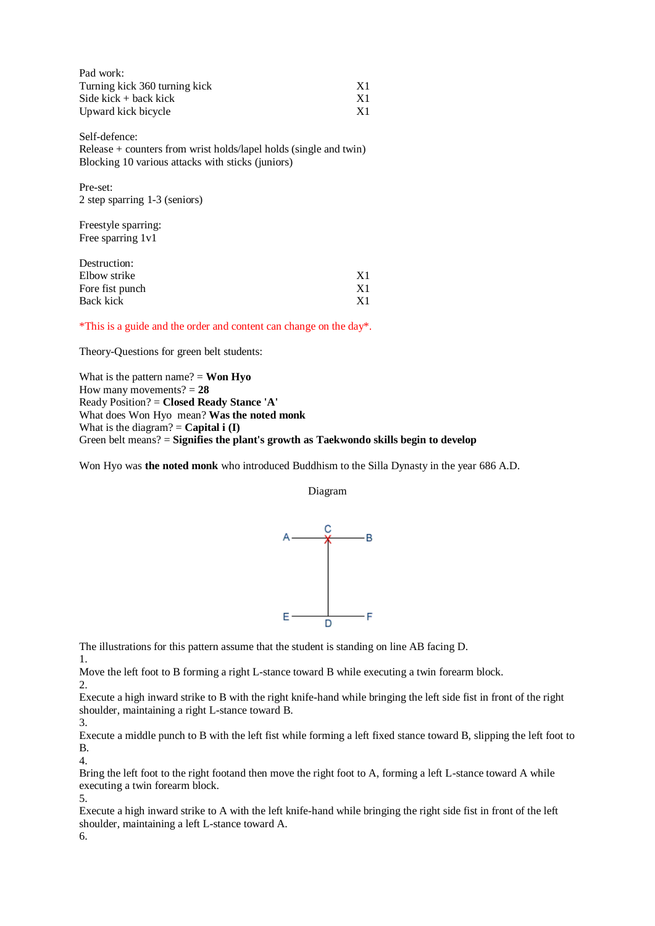| Pad work:                     |     |
|-------------------------------|-----|
| Turning kick 360 turning kick | -X1 |
| Side kick $+$ back kick       | X1  |
| Upward kick bicycle           | X1  |

Self-defence: Release + counters from wrist holds/lapel holds (single and twin) Blocking 10 various attacks with sticks (juniors)

Pre-set: 2 step sparring 1-3 (seniors)

Freestyle sparring: Free sparring 1v1

| Destruction:    |           |
|-----------------|-----------|
| Elbow strike    | -X 1      |
| Fore fist punch | -X1       |
| Back kick       | <b>X1</b> |

\*This is a guide and the order and content can change on the day\*.

Theory-Questions for green belt students:

What is the pattern name?  $=$  **Won Hyo** How many movements? = **28** Ready Position? = **Closed Ready Stance 'A'** What does Won Hyo mean? **Was the noted monk** What is the diagram?  $=$  **Capital i (I)** Green belt means? = **Signifies the plant's growth as Taekwondo skills begin to develop**

Won Hyo was **the noted monk** who introduced Buddhism to the Silla Dynasty in the year 686 A.D.

Diagram



The illustrations for this pattern assume that the student is standing on line AB facing D.

Move the left foot to B forming a right L-stance toward B while executing a twin forearm block.

2.

1.

Execute a high inward strike to B with the right knife-hand while bringing the left side fist in front of the right shoulder, maintaining a right L-stance toward B. 3.

Execute a middle punch to B with the left fist while forming a left fixed stance toward B, slipping the left foot to B.

Bring the left foot to the right footand then move the right foot to A, forming a left L-stance toward A while executing a twin forearm block.

5. Execute a high inward strike to A with the left knife-hand while bringing the right side fist in front of the left shoulder, maintaining a left L-stance toward A.

6.

4.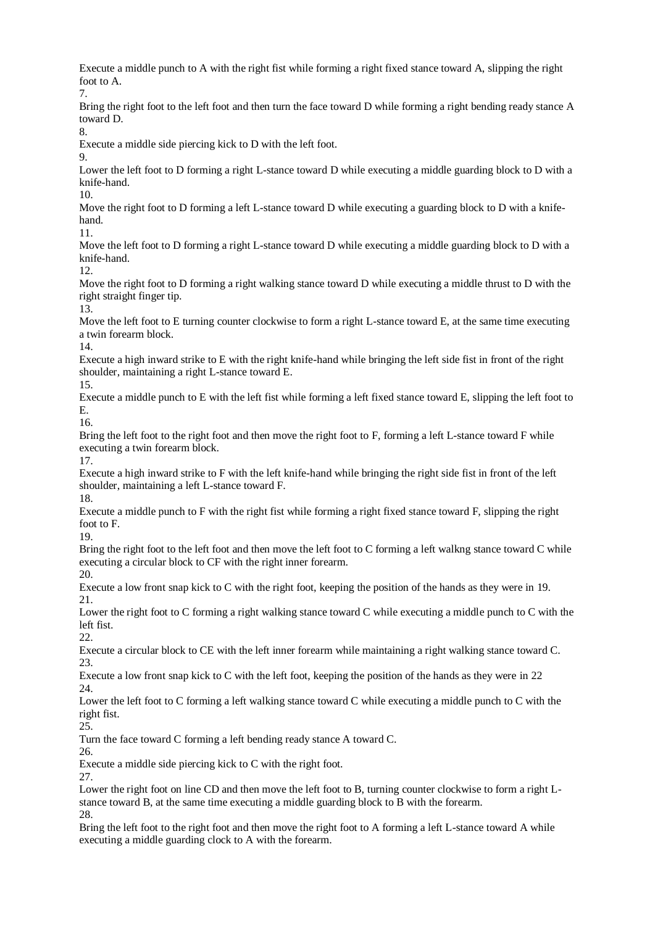Execute a middle punch to A with the right fist while forming a right fixed stance toward A, slipping the right foot to A. 7. Bring the right foot to the left foot and then turn the face toward D while forming a right bending ready stance A toward D. 8. Execute a middle side piercing kick to D with the left foot. 9. Lower the left foot to D forming a right L-stance toward D while executing a middle guarding block to D with a knife-hand. 10. Move the right foot to D forming a left L-stance toward D while executing a guarding block to D with a knifehand. 11. Move the left foot to D forming a right L-stance toward D while executing a middle guarding block to D with a knife-hand. 12. Move the right foot to D forming a right walking stance toward D while executing a middle thrust to D with the right straight finger tip. 13. Move the left foot to E turning counter clockwise to form a right L-stance toward E, at the same time executing a twin forearm block. 14. Execute a high inward strike to E with the right knife-hand while bringing the left side fist in front of the right shoulder, maintaining a right L-stance toward E. 15. Execute a middle punch to E with the left fist while forming a left fixed stance toward E, slipping the left foot to E. 16. Bring the left foot to the right foot and then move the right foot to F, forming a left L-stance toward F while executing a twin forearm block. 17. Execute a high inward strike to F with the left knife-hand while bringing the right side fist in front of the left shoulder, maintaining a left L-stance toward F. 18. Execute a middle punch to F with the right fist while forming a right fixed stance toward F, slipping the right foot to F. 19. Bring the right foot to the left foot and then move the left foot to C forming a left walkng stance toward C while executing a circular block to CF with the right inner forearm. 20. Execute a low front snap kick to C with the right foot, keeping the position of the hands as they were in 19. 21. Lower the right foot to C forming a right walking stance toward C while executing a middle punch to C with the left fist. 22. Execute a circular block to CE with the left inner forearm while maintaining a right walking stance toward C. 23. Execute a low front snap kick to C with the left foot, keeping the position of the hands as they were in 22  $24.$ Lower the left foot to C forming a left walking stance toward C while executing a middle punch to C with the right fist. 25. Turn the face toward C forming a left bending ready stance A toward C. 26. Execute a middle side piercing kick to C with the right foot. 27. Lower the right foot on line CD and then move the left foot to B, turning counter clockwise to form a right Lstance toward B, at the same time executing a middle guarding block to B with the forearm. 28. Bring the left foot to the right foot and then move the right foot to A forming a left L-stance toward A while executing a middle guarding clock to A with the forearm.